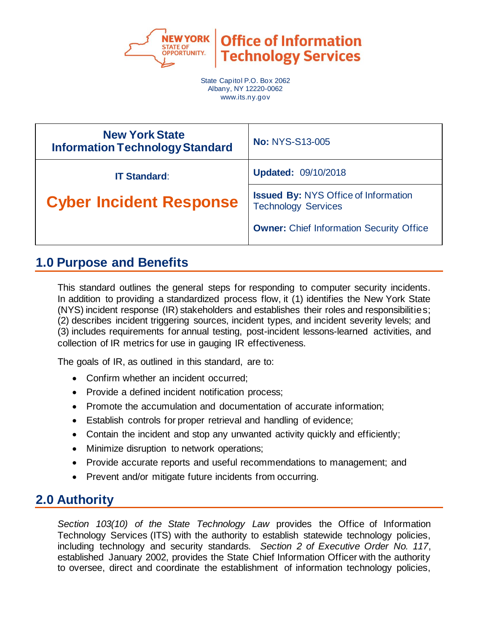

**Office of Information Technology Services** 

State Capitol P.O. Box 2062 Albany, NY 12220-0062 www.its.ny.gov

| <b>New York State</b><br><b>Information Technology Standard</b> | <b>No: NYS-S13-005</b>                                                    |  |
|-----------------------------------------------------------------|---------------------------------------------------------------------------|--|
| <b>IT Standard:</b>                                             | <b>Updated: 09/10/2018</b>                                                |  |
| <b>Cyber Incident Response</b>                                  | <b>Issued By: NYS Office of Information</b><br><b>Technology Services</b> |  |
|                                                                 | <b>Owner:</b> Chief Information Security Office                           |  |

## **1.0 Purpose and Benefits**

This standard outlines the general steps for responding to computer security incidents. In addition to providing a standardized process flow, it (1) identifies the New York State (NYS) incident response (IR) stakeholders and establishes their roles and responsibilities; (2) describes incident triggering sources, incident types, and incident severity levels; and (3) includes requirements for annual testing, post-incident lessons-learned activities, and collection of IR metrics for use in gauging IR effectiveness.

The goals of IR, as outlined in this standard, are to:

- Confirm whether an incident occurred;
- Provide a defined incident notification process;
- Promote the accumulation and documentation of accurate information;
- Establish controls for proper retrieval and handling of evidence;
- Contain the incident and stop any unwanted activity quickly and efficiently;
- Minimize disruption to network operations;
- Provide accurate reports and useful recommendations to management; and
- Prevent and/or mitigate future incidents from occurring.

# **2.0 Authority**

*Section 103(10) of the State Technology Law* provides the Office of Information Technology Services (ITS) with the authority to establish statewide technology policies, including technology and security standards. *Section 2 of Executive Order No. 117*, established January 2002, provides the State Chief Information Officer with the authority to oversee, direct and coordinate the establishment of information technology policies,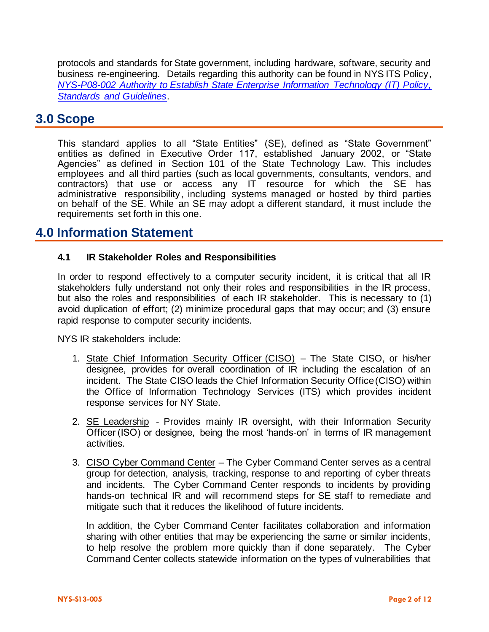protocols and standards for State government, including hardware, software, security and business re-engineering. Details regarding this authority can be found in NYS ITS Policy, *[NYS-P08-002 Authority to Establish State Enterprise Information Technology \(IT\) Policy,](https://its.ny.gov/document/authority-establish-state-enterprise-information-technology-it-policy-standards-and-guidelines)  [Standards and Guidelines](https://its.ny.gov/document/authority-establish-state-enterprise-information-technology-it-policy-standards-and-guidelines)*.

## **3.0 Scope**

This standard applies to all "State Entities" (SE), defined as "State Government" entities as defined in Executive Order 117, established January 2002, or "State Agencies" as defined in Section 101 of the State Technology Law. This includes employees and all third parties (such as local governments, consultants, vendors, and contractors) that use or access any IT resource for which the SE has administrative responsibility, including systems managed or hosted by third parties on behalf of the SE. While an SE may adopt a different standard, it must include the requirements set forth in this one.

## **4.0 Information Statement**

## **4.1 IR Stakeholder Roles and Responsibilities**

In order to respond effectively to a computer security incident, it is critical that all IR stakeholders fully understand not only their roles and responsibilities in the IR process, but also the roles and responsibilities of each IR stakeholder. This is necessary to (1) avoid duplication of effort; (2) minimize procedural gaps that may occur; and (3) ensure rapid response to computer security incidents.

NYS IR stakeholders include:

- 1. State Chief Information Security Officer (CISO) The State CISO, or his/her designee, provides for overall coordination of IR including the escalation of an incident. The State CISO leads the Chief Information Security Office (CISO) within the Office of Information Technology Services (ITS) which provides incident response services for NY State.
- 2. SE Leadership Provides mainly IR oversight, with their Information Security Officer (ISO) or designee, being the most 'hands-on' in terms of IR management activities.
- 3. CISO Cyber Command Center The Cyber Command Center serves as a central group for detection, analysis, tracking, response to and reporting of cyber threats and incidents. The Cyber Command Center responds to incidents by providing hands-on technical IR and will recommend steps for SE staff to remediate and mitigate such that it reduces the likelihood of future incidents.

In addition, the Cyber Command Center facilitates collaboration and information sharing with other entities that may be experiencing the same or similar incidents, to help resolve the problem more quickly than if done separately. The Cyber Command Center collects statewide information on the types of vulnerabilities that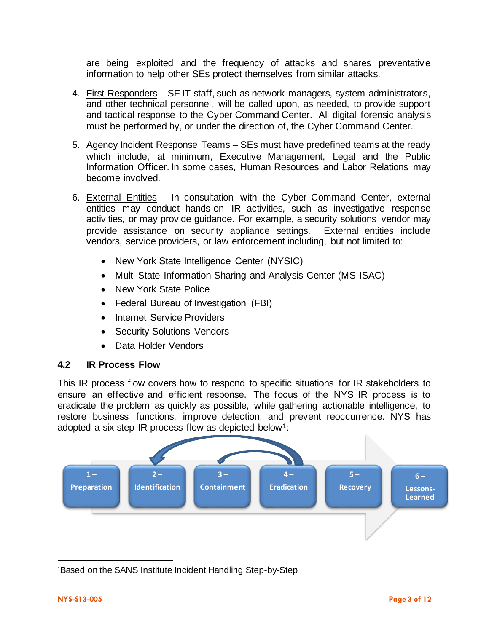are being exploited and the frequency of attacks and shares preventative information to help other SEs protect themselves from similar attacks.

- 4. First Responders SE IT staff, such as network managers, system administrators, and other technical personnel, will be called upon, as needed, to provide support and tactical response to the Cyber Command Center. All digital forensic analysis must be performed by, or under the direction of, the Cyber Command Center.
- 5. Agency Incident Response Teams SEs must have predefined teams at the ready which include, at minimum, Executive Management, Legal and the Public Information Officer. In some cases, Human Resources and Labor Relations may become involved.
- 6. External Entities In consultation with the Cyber Command Center, external entities may conduct hands-on IR activities, such as investigative response activities, or may provide guidance. For example, a security solutions vendor may provide assistance on security appliance settings. External entities include vendors, service providers, or law enforcement including, but not limited to:
	- New York State Intelligence Center (NYSIC)
	- Multi-State Information Sharing and Analysis Center (MS-ISAC)
	- New York State Police
	- Federal Bureau of Investigation (FBI)
	- Internet Service Providers
	- Security Solutions Vendors
	- Data Holder Vendors

## **4.2 IR Process Flow**

This IR process flow covers how to respond to specific situations for IR stakeholders to ensure an effective and efficient response. The focus of the NYS IR process is to eradicate the problem as quickly as possible, while gathering actionable intelligence, to restore business functions, improve detection, and prevent reoccurrence. NYS has adopted a six step IR process flow as depicted below1:



<sup>1</sup>Based on the SANS Institute Incident Handling Step-by-Step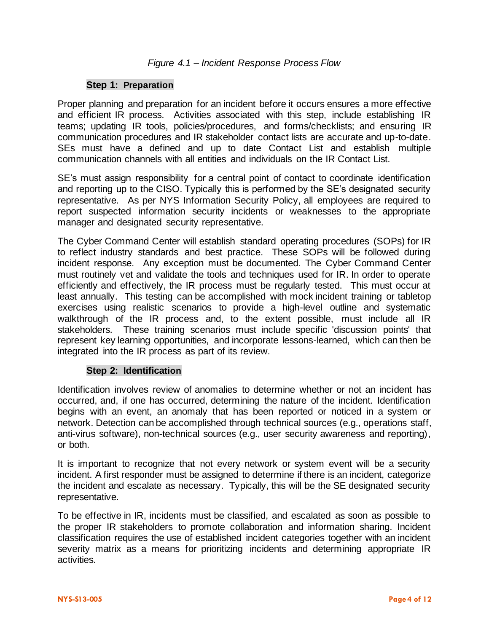## **Step 1: Preparation**

Proper planning and preparation for an incident before it occurs ensures a more effective and efficient IR process. Activities associated with this step, include establishing IR teams; updating IR tools, policies/procedures, and forms/checklists; and ensuring IR communication procedures and IR stakeholder contact lists are accurate and up-to-date. SEs must have a defined and up to date Contact List and establish multiple communication channels with all entities and individuals on the IR Contact List.

SE's must assign responsibility for a central point of contact to coordinate identification and reporting up to the CISO. Typically this is performed by the SE's designated security representative. As per NYS Information Security Policy, all employees are required to report suspected information security incidents or weaknesses to the appropriate manager and designated security representative.

The Cyber Command Center will establish standard operating procedures (SOPs) for IR to reflect industry standards and best practice. These SOPs will be followed during incident response. Any exception must be documented. The Cyber Command Center must routinely vet and validate the tools and techniques used for IR. In order to operate efficiently and effectively, the IR process must be regularly tested. This must occur at least annually. This testing can be accomplished with mock incident training or tabletop exercises using realistic scenarios to provide a high-level outline and systematic walkthrough of the IR process and, to the extent possible, must include all IR stakeholders. These training scenarios must include specific 'discussion points' that represent key learning opportunities, and incorporate lessons-learned, which can then be integrated into the IR process as part of its review.

### **Step 2: Identification**

Identification involves review of anomalies to determine whether or not an incident has occurred, and, if one has occurred, determining the nature of the incident. Identification begins with an event, an anomaly that has been reported or noticed in a system or network. Detection can be accomplished through technical sources (e.g., operations staff, anti-virus software), non-technical sources (e.g., user security awareness and reporting), or both.

It is important to recognize that not every network or system event will be a security incident. A first responder must be assigned to determine if there is an incident, categorize the incident and escalate as necessary. Typically, this will be the SE designated security representative.

To be effective in IR, incidents must be classified, and escalated as soon as possible to the proper IR stakeholders to promote collaboration and information sharing. Incident classification requires the use of established incident categories together with an incident severity matrix as a means for prioritizing incidents and determining appropriate IR activities.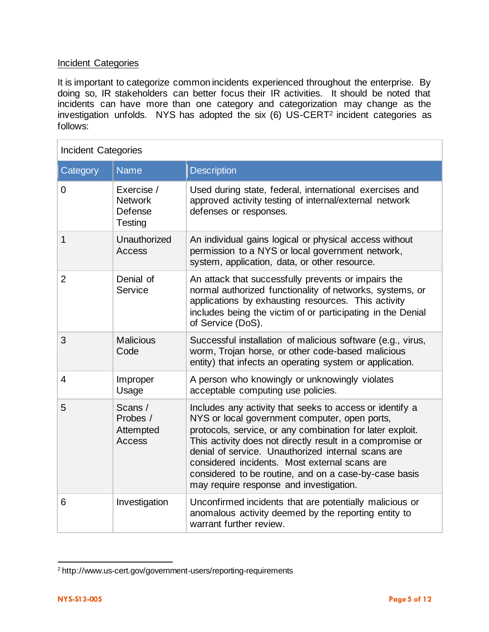## Incident Categories

It is important to categorize common incidents experienced throughout the enterprise. By doing so, IR stakeholders can better focus their IR activities. It should be noted that incidents can have more than one category and categorization may change as the investigation unfolds. NYS has adopted the six (6) US-CERT<sup>2</sup> incident categories as follows:

| <b>Incident Categories</b> |                                                    |                                                                                                                                                                                                                                                                                                                                                                                                                                                |
|----------------------------|----------------------------------------------------|------------------------------------------------------------------------------------------------------------------------------------------------------------------------------------------------------------------------------------------------------------------------------------------------------------------------------------------------------------------------------------------------------------------------------------------------|
| Category                   | <b>Name</b>                                        | <b>Description</b>                                                                                                                                                                                                                                                                                                                                                                                                                             |
| $\overline{0}$             | Exercise /<br><b>Network</b><br>Defense<br>Testing | Used during state, federal, international exercises and<br>approved activity testing of internal/external network<br>defenses or responses.                                                                                                                                                                                                                                                                                                    |
| 1                          | Unauthorized<br>Access                             | An individual gains logical or physical access without<br>permission to a NYS or local government network,<br>system, application, data, or other resource.                                                                                                                                                                                                                                                                                    |
| $\overline{2}$             | Denial of<br>Service                               | An attack that successfully prevents or impairs the<br>normal authorized functionality of networks, systems, or<br>applications by exhausting resources. This activity<br>includes being the victim of or participating in the Denial<br>of Service (DoS).                                                                                                                                                                                     |
| 3                          | <b>Malicious</b><br>Code                           | Successful installation of malicious software (e.g., virus,<br>worm, Trojan horse, or other code-based malicious<br>entity) that infects an operating system or application.                                                                                                                                                                                                                                                                   |
| $\overline{4}$             | Improper<br>Usage                                  | A person who knowingly or unknowingly violates<br>acceptable computing use policies.                                                                                                                                                                                                                                                                                                                                                           |
| 5                          | Scans /<br>Probes /<br>Attempted<br><b>Access</b>  | Includes any activity that seeks to access or identify a<br>NYS or local government computer, open ports,<br>protocols, service, or any combination for later exploit.<br>This activity does not directly result in a compromise or<br>denial of service. Unauthorized internal scans are<br>considered incidents. Most external scans are<br>considered to be routine, and on a case-by-case basis<br>may require response and investigation. |
| 6                          | Investigation                                      | Unconfirmed incidents that are potentially malicious or<br>anomalous activity deemed by the reporting entity to<br>warrant further review.                                                                                                                                                                                                                                                                                                     |

<sup>2</sup> http://www.us-cert.gov/government-users/reporting-requirements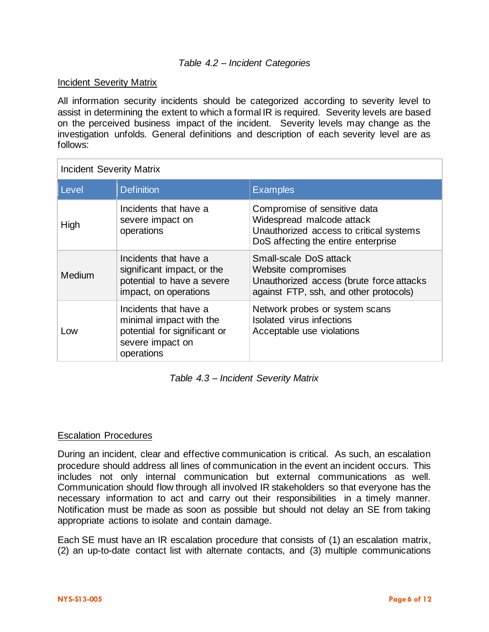## *Table 4.2 – Incident Categories*

## Incident Severity Matrix

All information security incidents should be categorized according to severity level to assist in determining the extent to which a formal IR is required. Severity levels are based on the perceived business impact of the incident. Severity levels may change as the investigation unfolds. General definitions and description of each severity level are as follows:

| <b>Incident Severity Matrix</b> |                                                                                                                    |                                                                                                                                             |
|---------------------------------|--------------------------------------------------------------------------------------------------------------------|---------------------------------------------------------------------------------------------------------------------------------------------|
| Level                           | <b>Definition</b>                                                                                                  | <b>Examples</b>                                                                                                                             |
| High                            | Incidents that have a<br>severe impact on<br>operations                                                            | Compromise of sensitive data<br>Widespread malcode attack<br>Unauthorized access to critical systems<br>DoS affecting the entire enterprise |
| <b>Medium</b>                   | Incidents that have a<br>significant impact, or the<br>potential to have a severe<br>impact, on operations         | Small-scale DoS attack<br>Website compromises<br>Unauthorized access (brute force attacks<br>against FTP, ssh, and other protocols)         |
| Low                             | Incidents that have a<br>minimal impact with the<br>potential for significant or<br>severe impact on<br>operations | Network probes or system scans<br>Isolated virus infections<br>Acceptable use violations                                                    |

*Table 4.3 – Incident Severity Matrix*

### Escalation Procedures

During an incident, clear and effective communication is critical. As such, an escalation procedure should address all lines of communication in the event an incident occurs. This includes not only internal communication but external communications as well. Communication should flow through all involved IR stakeholders so that everyone has the necessary information to act and carry out their responsibilities in a timely manner. Notification must be made as soon as possible but should not delay an SE from taking appropriate actions to isolate and contain damage.

Each SE must have an IR escalation procedure that consists of (1) an escalation matrix, (2) an up-to-date contact list with alternate contacts, and (3) multiple communications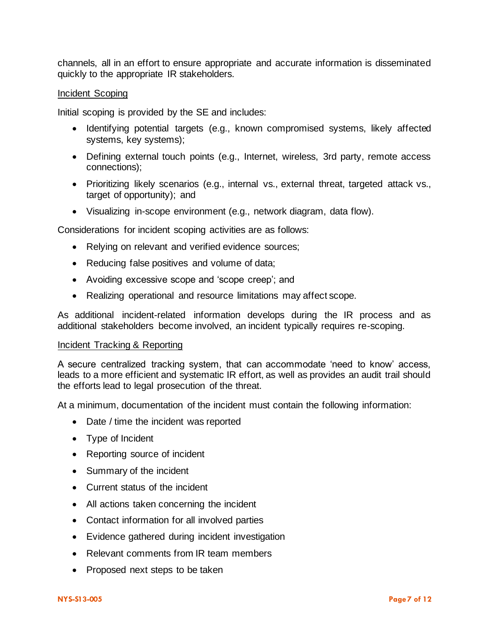channels, all in an effort to ensure appropriate and accurate information is disseminated quickly to the appropriate IR stakeholders.

### Incident Scoping

Initial scoping is provided by the SE and includes:

- Identifying potential targets (e.g., known compromised systems, likely affected systems, key systems);
- Defining external touch points (e.g., Internet, wireless, 3rd party, remote access connections);
- Prioritizing likely scenarios (e.g., internal vs., external threat, targeted attack vs., target of opportunity); and
- Visualizing in-scope environment (e.g., network diagram, data flow).

Considerations for incident scoping activities are as follows:

- Relying on relevant and verified evidence sources;
- Reducing false positives and volume of data;
- Avoiding excessive scope and 'scope creep'; and
- Realizing operational and resource limitations may affect scope.

As additional incident-related information develops during the IR process and as additional stakeholders become involved, an incident typically requires re-scoping.

#### Incident Tracking & Reporting

A secure centralized tracking system, that can accommodate 'need to know' access, leads to a more efficient and systematic IR effort, as well as provides an audit trail should the efforts lead to legal prosecution of the threat.

At a minimum, documentation of the incident must contain the following information:

- Date / time the incident was reported
- Type of Incident
- Reporting source of incident
- Summary of the incident
- Current status of the incident
- All actions taken concerning the incident
- Contact information for all involved parties
- Evidence gathered during incident investigation
- Relevant comments from IR team members
- Proposed next steps to be taken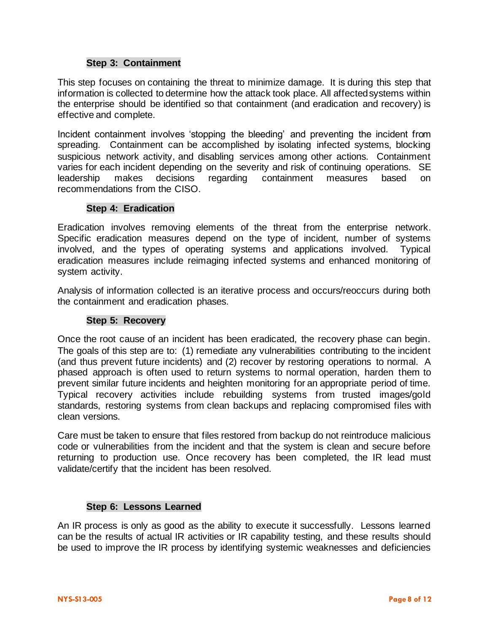## **Step 3: Containment**

This step focuses on containing the threat to minimize damage. It is during this step that information is collected to determine how the attack took place. All affected systems within the enterprise should be identified so that containment (and eradication and recovery) is effective and complete.

Incident containment involves 'stopping the bleeding' and preventing the incident from spreading. Containment can be accomplished by isolating infected systems, blocking suspicious network activity, and disabling services among other actions. Containment varies for each incident depending on the severity and risk of continuing operations. SE<br>leadership makes decisions regarding containment measures based on leadership makes decisions regarding containment measures based on recommendations from the CISO.

### **Step 4: Eradication**

Eradication involves removing elements of the threat from the enterprise network. Specific eradication measures depend on the type of incident, number of systems involved, and the types of operating systems and applications involved. Typical eradication measures include reimaging infected systems and enhanced monitoring of system activity.

Analysis of information collected is an iterative process and occurs/reoccurs during both the containment and eradication phases.

### **Step 5: Recovery**

Once the root cause of an incident has been eradicated, the recovery phase can begin. The goals of this step are to: (1) remediate any vulnerabilities contributing to the incident (and thus prevent future incidents) and (2) recover by restoring operations to normal. A phased approach is often used to return systems to normal operation, harden them to prevent similar future incidents and heighten monitoring for an appropriate period of time. Typical recovery activities include rebuilding systems from trusted images/gold standards, restoring systems from clean backups and replacing compromised files with clean versions.

Care must be taken to ensure that files restored from backup do not reintroduce malicious code or vulnerabilities from the incident and that the system is clean and secure before returning to production use. Once recovery has been completed, the IR lead must validate/certify that the incident has been resolved.

#### **Step 6: Lessons Learned**

An IR process is only as good as the ability to execute it successfully. Lessons learned can be the results of actual IR activities or IR capability testing, and these results should be used to improve the IR process by identifying systemic weaknesses and deficiencies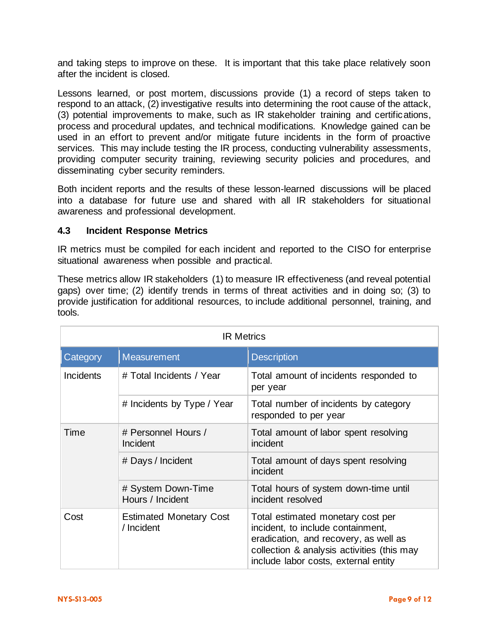and taking steps to improve on these. It is important that this take place relatively soon after the incident is closed.

Lessons learned, or post mortem, discussions provide (1) a record of steps taken to respond to an attack, (2) investigative results into determining the root cause of the attack, (3) potential improvements to make, such as IR stakeholder training and certifications, process and procedural updates, and technical modifications. Knowledge gained can be used in an effort to prevent and/or mitigate future incidents in the form of proactive services. This may include testing the IR process, conducting vulnerability assessments, providing computer security training, reviewing security policies and procedures, and disseminating cyber security reminders.

Both incident reports and the results of these lesson-learned discussions will be placed into a database for future use and shared with all IR stakeholders for situational awareness and professional development.

## **4.3 Incident Response Metrics**

IR metrics must be compiled for each incident and reported to the CISO for enterprise situational awareness when possible and practical.

These metrics allow IR stakeholders (1) to measure IR effectiveness (and reveal potential gaps) over time; (2) identify trends in terms of threat activities and in doing so; (3) to provide justification for additional resources, to include additional personnel, training, and tools.

| <b>IR Metrics</b> |                                              |                                                                                                                                                                                                       |
|-------------------|----------------------------------------------|-------------------------------------------------------------------------------------------------------------------------------------------------------------------------------------------------------|
| Category          | <b>Measurement</b>                           | <b>Description</b>                                                                                                                                                                                    |
| <b>Incidents</b>  | # Total Incidents / Year                     | Total amount of incidents responded to<br>per year                                                                                                                                                    |
|                   | # Incidents by Type / Year                   | Total number of incidents by category<br>responded to per year                                                                                                                                        |
| Time              | # Personnel Hours /<br>Incident              | Total amount of labor spent resolving<br>incident                                                                                                                                                     |
|                   | # Days / Incident                            | Total amount of days spent resolving<br>incident                                                                                                                                                      |
|                   | # System Down-Time<br>Hours / Incident       | Total hours of system down-time until<br>incident resolved                                                                                                                                            |
| Cost              | <b>Estimated Monetary Cost</b><br>/ Incident | Total estimated monetary cost per<br>incident, to include containment,<br>eradication, and recovery, as well as<br>collection & analysis activities (this may<br>include labor costs, external entity |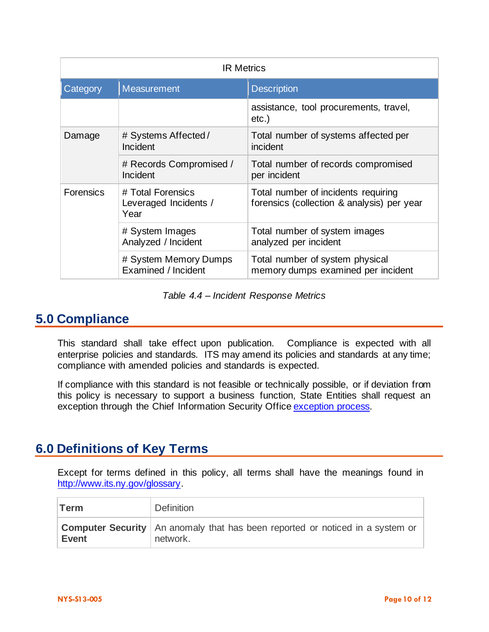| <b>IR Metrics</b> |                                                    |                                                                                   |  |
|-------------------|----------------------------------------------------|-----------------------------------------------------------------------------------|--|
| Category          | <b>Measurement</b><br><b>Description</b>           |                                                                                   |  |
|                   |                                                    | assistance, tool procurements, travel,<br>$etc.$ )                                |  |
| Damage            | # Systems Affected/<br>Incident                    | Total number of systems affected per<br>incident                                  |  |
|                   | # Records Compromised /<br>Incident                | Total number of records compromised<br>per incident                               |  |
| <b>Forensics</b>  | # Total Forensics<br>Leveraged Incidents /<br>Year | Total number of incidents requiring<br>forensics (collection & analysis) per year |  |
|                   | # System Images<br>Analyzed / Incident             | Total number of system images<br>analyzed per incident                            |  |
|                   | # System Memory Dumps<br>Examined / Incident       | Total number of system physical<br>memory dumps examined per incident             |  |

## *Table 4.4 – Incident Response Metrics*

## **5.0 Compliance**

This standard shall take effect upon publication. Compliance is expected with all enterprise policies and standards. ITS may amend its policies and standards at any time; compliance with amended policies and standards is expected.

If compliance with this standard is not feasible or technically possible, or if deviation from this policy is necessary to support a business function, State Entities shall request an exception through the Chief Information Security Offic[e exception process.](http://www.its.ny.gov/document/information-security-exception-policy)

## **6.0 Definitions of Key Terms**

Except for terms defined in this policy, all terms shall have the meanings found in [http://www.its.ny.gov/glossary.](http://www.its.ny.gov/glossary)

| ∣Term        | <b>Definition</b>                                                                                    |
|--------------|------------------------------------------------------------------------------------------------------|
| <b>Event</b> | <b>Computer Security</b> $ $ An anomaly that has been reported or noticed in a system or<br>network. |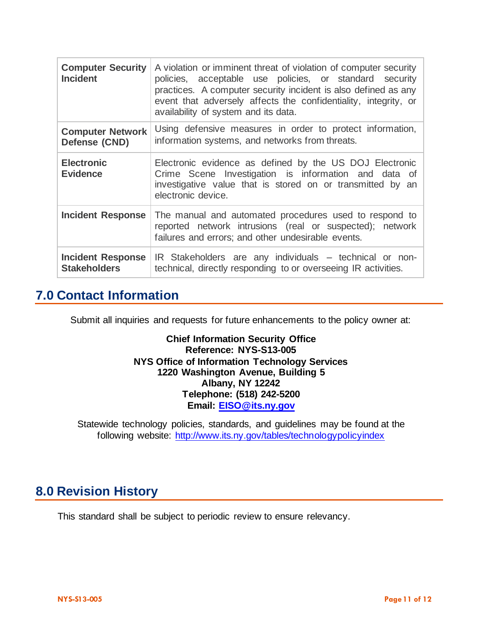| <b>Computer Security</b><br><b>Incident</b> | A violation or imminent threat of violation of computer security<br>policies, acceptable use policies, or standard security<br>practices. A computer security incident is also defined as any<br>event that adversely affects the confidentiality, integrity, or<br>availability of system and its data. |
|---------------------------------------------|----------------------------------------------------------------------------------------------------------------------------------------------------------------------------------------------------------------------------------------------------------------------------------------------------------|
| <b>Computer Network</b><br>Defense (CND)    | Using defensive measures in order to protect information,<br>information systems, and networks from threats.                                                                                                                                                                                             |
| <b>Electronic</b><br><b>Evidence</b>        | Electronic evidence as defined by the US DOJ Electronic<br>Crime Scene Investigation is information and data of<br>investigative value that is stored on or transmitted by an<br>electronic device.                                                                                                      |
| Incident Response                           | The manual and automated procedures used to respond to<br>reported network intrusions (real or suspected); network<br>failures and errors; and other undesirable events.                                                                                                                                 |
| Incident Response<br><b>Stakeholders</b>    | IR Stakeholders are any individuals – technical or non-<br>technical, directly responding to or overseeing IR activities.                                                                                                                                                                                |

## **7.0 Contact Information**

Submit all inquiries and requests for future enhancements to the policy owner at:

**Chief Information Security Office Reference: NYS-S13-005 NYS Office of Information Technology Services 1220 Washington Avenue, Building 5 Albany, NY 12242 Telephone: (518) 242-5200 Email: [EISO@its.ny.gov](mailto:EISO@its.ny.gov)**

Statewide technology policies, standards, and guidelines may be found at the following website: <http://www.its.ny.gov/tables/technologypolicyindex>

# **8.0 Revision History**

This standard shall be subject to periodic review to ensure relevancy.